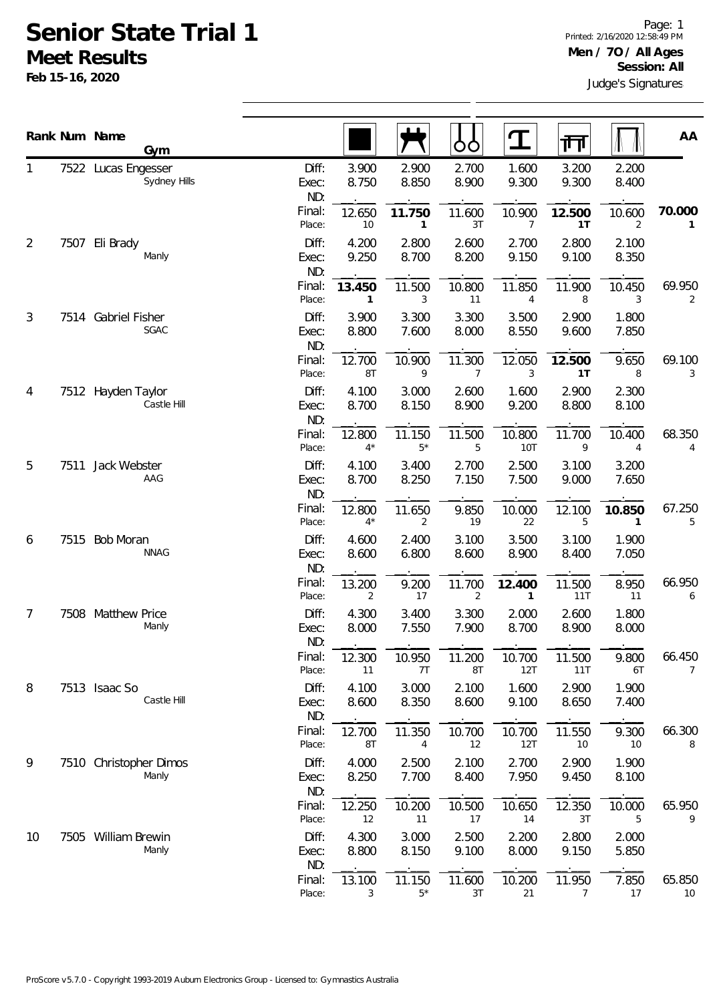## **Senior State Trial 1 Meet Results**

**Feb 15-16, 2020**

|                |      | Rank Num Name<br>Gym                |                       |                |                     | OO                       | $\mathbf T$            | ग्ग            |                          | AA           |
|----------------|------|-------------------------------------|-----------------------|----------------|---------------------|--------------------------|------------------------|----------------|--------------------------|--------------|
| 1              |      | 7522 Lucas Engesser<br>Sydney Hills | Diff:<br>Exec:<br>ND: | 3.900<br>8.750 | 2.900<br>8.850      | 2.700<br>8.900           | 1.600<br>9.300         | 3.200<br>9.300 | 2.200<br>8.400           |              |
|                |      |                                     | Final:<br>Place:      | 12.650<br>10   | 11.750<br>1         | 11.600<br>3T             | 10.900<br>7            | 12.500<br>1T   | 10.600<br>2              | 70.000<br>1  |
| $\overline{2}$ | 7507 | Eli Brady<br>Manly                  | Diff:<br>Exec:<br>ND: | 4.200<br>9.250 | 2.800<br>8.700      | 2.600<br>8.200           | 2.700<br>9.150         | 2.800<br>9.100 | 2.100<br>8.350           |              |
|                |      |                                     | Final:<br>Place:      | 13.450<br>1    | 11.500<br>3         | 10.800<br>11             | 11.850<br>4            | 11.900<br>8    | 10.450<br>3              | 69.950<br>2  |
| 3              |      | 7514 Gabriel Fisher<br>SGAC         | Diff:<br>Exec:<br>ND: | 3.900<br>8.800 | 3.300<br>7.600      | 3.300<br>8.000           | 3.500<br>8.550         | 2.900<br>9.600 | 1.800<br>7.850           |              |
|                |      |                                     | Final:<br>Place:      | 12.700<br>8T   | 10.900<br>9         | 11.300<br>$\overline{7}$ | 12.050<br>3            | 12.500<br>1T   | 9.650<br>8               | 69.100<br>3  |
| 4              |      | 7512 Hayden Taylor<br>Castle Hill   | Diff:<br>Exec:<br>ND: | 4.100<br>8.700 | 3.000<br>8.150      | 2.600<br>8.900           | 1.600<br>9.200         | 2.900<br>8.800 | 2.300<br>8.100           |              |
|                |      |                                     | Final:<br>Place:      | 12.800<br>$4*$ | 11.150<br>$5*$      | 11.500<br>5              | 10.800<br><b>10T</b>   | 11.700<br>9    | 10.400<br>$\overline{4}$ | 68.350<br>4  |
| 5              | 7511 | Jack Webster<br>AAG                 | Diff:<br>Exec:<br>ND: | 4.100<br>8.700 | 3.400<br>8.250      | 2.700<br>7.150           | 2.500<br>7.500         | 3.100<br>9.000 | 3.200<br>7.650           |              |
|                |      |                                     | Final:<br>Place:      | 12.800<br>$4*$ | 11.650<br>2         | 9.850<br>19              | 10.000<br>22           | 12.100<br>5    | 10.850<br>1              | 67.250<br>5  |
| 6              | 7515 | <b>Bob Moran</b><br><b>NNAG</b>     | Diff:<br>Exec:<br>ND: | 4.600<br>8.600 | 2.400<br>6.800      | 3.100<br>8.600           | 3.500<br>8.900         | 3.100<br>8.400 | 1.900<br>7.050           |              |
|                |      |                                     | Final:<br>Place:      | 13.200<br>2    | 9.200<br>17         | 11.700<br>$\overline{2}$ | 12.400<br>$\mathbf{1}$ | 11.500<br>11T  | 8.950<br>11              | 66.950<br>6  |
| 7              | 7508 | <b>Matthew Price</b><br>Manly       | Diff:<br>Exec:<br>ND: | 4.300<br>8.000 | 3.400<br>7.550      | 3.300<br>7.900           | 2.000<br>8.700         | 2.600<br>8.900 | 1.800<br>8.000           |              |
|                |      |                                     | Final:<br>Place:      | 12.300<br>11   | 10.950<br>7T        | 11.200<br>8T             | 10.700<br>12T          | 11.500<br>11T  | 9.800<br>6T              | 66.450<br>7  |
| 8              |      | 7513 Isaac So<br>Castle Hill        | Diff:<br>Exec:<br>ND: | 4.100<br>8.600 | 3.000<br>8.350      | 2.100<br>8.600           | 1.600<br>9.100         | 2.900<br>8.650 | 1.900<br>7.400           |              |
|                |      |                                     | Final:<br>Place:      | 12.700<br>8T   | 11.350<br>4         | 10.700<br>12             | 10.700<br>12T          | 11.550<br>10   | 9.300<br>10              | 66.300<br>8  |
| 9              |      | 7510 Christopher Dimos<br>Manly     | Diff:<br>Exec:<br>ND: | 4.000<br>8.250 | 2.500<br>7.700      | 2.100<br>8.400           | 2.700<br>7.950         | 2.900<br>9.450 | 1.900<br>8.100           |              |
|                |      |                                     | Final:<br>Place:      | 12.250<br>12   | 10.200<br>11        | 10.500<br>17             | 10.650<br>14           | 12.350<br>3T   | 10.000<br>5              | 65.950<br>9  |
| 10             |      | 7505 William Brewin<br>Manly        | Diff:<br>Exec:<br>ND: | 4.300<br>8.800 | 3.000<br>8.150      | 2.500<br>9.100           | 2.200<br>8.000         | 2.800<br>9.150 | 2.000<br>5.850           |              |
|                |      |                                     | Final:<br>Place:      | 13.100<br>3    | 11.150<br>$5^{\,*}$ | 11.600<br>3T             | 10.200<br>21           | 11.950<br>7    | 7.850<br>17              | 65.850<br>10 |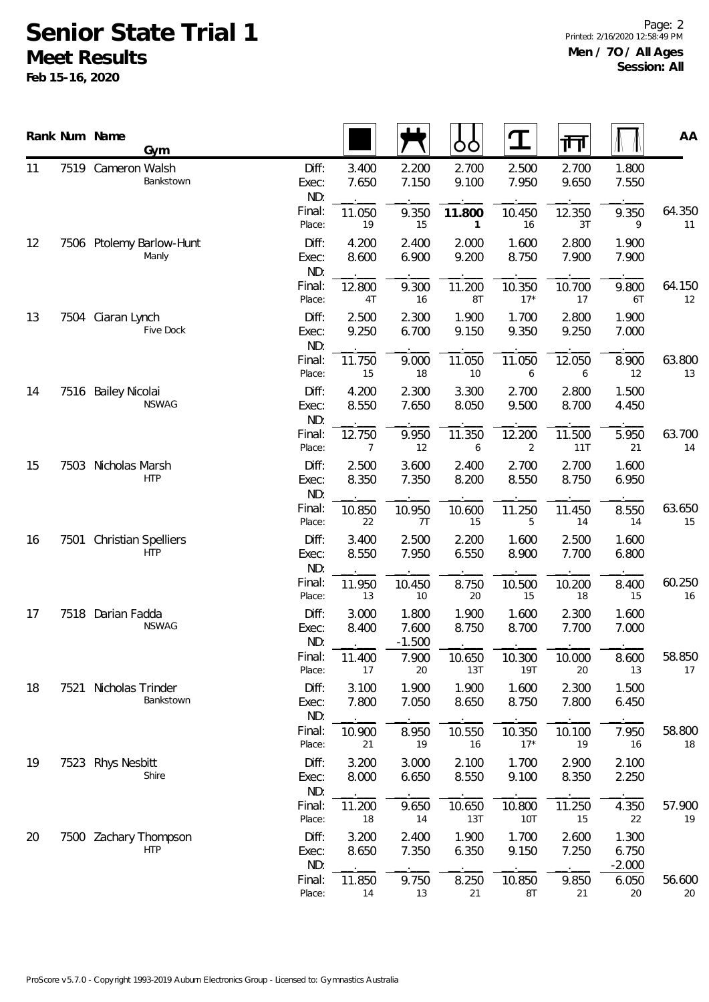## **Senior State Trial 1 Meet Results**

**Feb 15-16, 2020**

Page: 2 Printed: 2/16/2020 12:58:49 PM **Men / 7O / All Ages Session: All**

|          |      | Rank Num Name<br>Gym                     |                       |                |                            | OO             | $\mathbf T$     | गंग            |                            | AA                  |
|----------|------|------------------------------------------|-----------------------|----------------|----------------------------|----------------|-----------------|----------------|----------------------------|---------------------|
| 11       |      | 7519 Cameron Walsh<br>Bankstown          | Diff:<br>Exec:<br>ND: | 3.400<br>7.650 | 2.200<br>7.150             | 2.700<br>9.100 | 2.500<br>7.950  | 2.700<br>9.650 | 1.800<br>7.550             |                     |
|          |      |                                          | Final:<br>Place:      | 11.050<br>19   | 9.350<br>15                | 11.800<br>1    | 10.450<br>16    | 12.350<br>3T   | 9.350<br>9                 | 64.350<br>11        |
| 12       |      | 7506 Ptolemy Barlow-Hunt<br>Manly        | Diff:<br>Exec:<br>ND: | 4.200<br>8.600 | 2.400<br>6.900             | 2.000<br>9.200 | 1.600<br>8.750  | 2.800<br>7.900 | 1.900<br>7.900             |                     |
|          |      |                                          | Final:<br>Place:      | 12.800<br>4T   | 9.300<br>16                | 11.200<br>8T   | 10.350<br>$17*$ | 10.700<br>17   | 9.800<br>6T                | 64.15C<br>12        |
| 13       |      | 7504 Ciaran Lynch<br>Five Dock           | Diff:<br>Exec:<br>ND: | 2.500<br>9.250 | 2.300<br>6.700             | 1.900<br>9.150 | 1.700<br>9.350  | 2.800<br>9.250 | 1.900<br>7.000             |                     |
|          |      |                                          | Final:<br>Place:      | 11.750<br>15   | 9.000<br>18                | 11.050<br>10   | 11.050<br>6     | 12.050<br>6    | 8.900<br>12                | <b>63.800</b><br>13 |
| 14       |      | 7516 Bailey Nicolai<br><b>NSWAG</b>      | Diff:<br>Exec:<br>ND: | 4.200<br>8.550 | 2.300<br>7.650             | 3.300<br>8.050 | 2.700<br>9.500  | 2.800<br>8.700 | 1.500<br>4.450             |                     |
|          |      |                                          | Final:<br>Place:      | 12.750<br>7    | 9.950<br>12                | 11.350<br>6    | 12.200<br>2     | 11.500<br>11T  | 5.950<br>21                | 63.700<br>14        |
| 15<br>16 | 7503 | Nicholas Marsh<br><b>HTP</b>             | Diff:<br>Exec:<br>ND: | 2.500<br>8.350 | 3.600<br>7.350             | 2.400<br>8.200 | 2.700<br>8.550  | 2.700<br>8.750 | 1.600<br>6.950             |                     |
|          |      |                                          | Final:<br>Place:      | 10.850<br>22   | 10.950<br>7T               | 10.600<br>15   | 11.250<br>5     | 11.450<br>14   | 8.550<br>14                | 63.650<br>15        |
|          | 7501 | <b>Christian Spelliers</b><br><b>HTP</b> | Diff:<br>Exec:<br>ND: | 3.400<br>8.550 | 2.500<br>7.950             | 2.200<br>6.550 | 1.600<br>8.900  | 2.500<br>7.700 | 1.600<br>6.800             |                     |
|          |      |                                          | Final:<br>Place:      | 11.950<br>13   | 10.450<br>10               | 8.750<br>20    | 10.500<br>15    | 10.200<br>18   | 8.400<br>15                | 60.250<br>16        |
| 17       |      | 7518 Darian Fadda<br><b>NSWAG</b>        | Diff:<br>Exec:<br>ND: | 3.000<br>8.400 | 1.800<br>7.600<br>$-1.500$ | 1.900<br>8.750 | 1.600<br>8.700  | 2.300<br>7.700 | 1.600<br>7.000             |                     |
|          |      |                                          | Final:<br>Place:      | 11.400<br>17   | 7.900<br>20                | 10.650<br>13T  | 10.300<br>19T   | 10.000<br>20   | 8.600<br>13                | 58.850<br>17        |
| 18       | 7521 | Nicholas Trinder<br>Bankstown            | Diff:<br>Exec:<br>ND: | 3.100<br>7.800 | 1.900<br>7.050             | 1.900<br>8.650 | 1.600<br>8.750  | 2.300<br>7.800 | 1.500<br>6.450             |                     |
|          |      |                                          | Final:<br>Place:      | 10.900<br>21   | 8.950<br>19                | 10.550<br>16   | 10.350<br>$17*$ | 10.100<br>19   | 7.950<br>16                | 58.800<br>18        |
| 19       | 7523 | <b>Rhys Nesbitt</b><br>Shire             | Diff:<br>Exec:<br>ND: | 3.200<br>8.000 | 3.000<br>6.650             | 2.100<br>8.550 | 1.700<br>9.100  | 2.900<br>8.350 | 2.100<br>2.250             |                     |
|          |      |                                          | Final:<br>Place:      | 11.200<br>18   | 9.650<br>14                | 10.650<br>13T  | 10.800<br>10T   | 11.250<br>15   | 4.350<br>22                | 57.900<br>19        |
| 20       |      | 7500 Zachary Thompson<br><b>HTP</b>      | Diff:<br>Exec:<br>ND: | 3.200<br>8.650 | 2.400<br>7.350             | 1.900<br>6.350 | 1.700<br>9.150  | 2.600<br>7.250 | 1.300<br>6.750<br>$-2.000$ |                     |
|          |      |                                          | Final:<br>Place:      | 11.850<br>14   | 9.750<br>13                | 8.250<br>21    | 10.850<br>8T    | 9.850<br>21    | 6.050<br>20                | 56.600<br>20        |